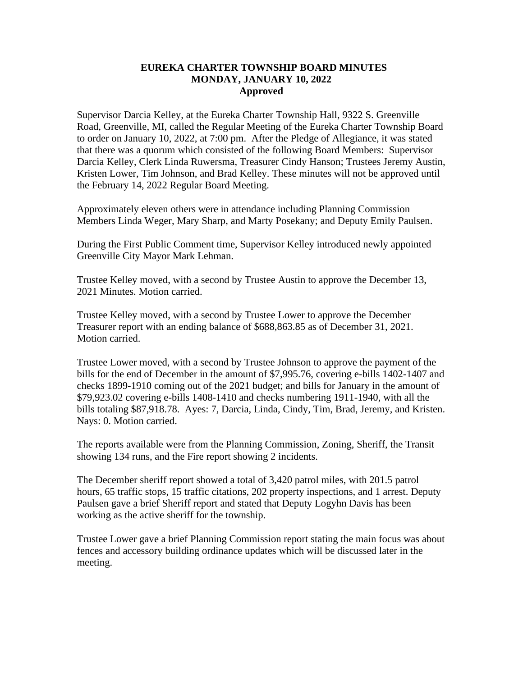## **EUREKA CHARTER TOWNSHIP BOARD MINUTES MONDAY, JANUARY 10, 2022 Approved**

Supervisor Darcia Kelley, at the Eureka Charter Township Hall, 9322 S. Greenville Road, Greenville, MI, called the Regular Meeting of the Eureka Charter Township Board to order on January 10, 2022, at 7:00 pm. After the Pledge of Allegiance, it was stated that there was a quorum which consisted of the following Board Members: Supervisor Darcia Kelley, Clerk Linda Ruwersma, Treasurer Cindy Hanson; Trustees Jeremy Austin, Kristen Lower, Tim Johnson, and Brad Kelley. These minutes will not be approved until the February 14, 2022 Regular Board Meeting.

Approximately eleven others were in attendance including Planning Commission Members Linda Weger, Mary Sharp, and Marty Posekany; and Deputy Emily Paulsen.

During the First Public Comment time, Supervisor Kelley introduced newly appointed Greenville City Mayor Mark Lehman.

Trustee Kelley moved, with a second by Trustee Austin to approve the December 13, 2021 Minutes. Motion carried.

Trustee Kelley moved, with a second by Trustee Lower to approve the December Treasurer report with an ending balance of \$688,863.85 as of December 31, 2021. Motion carried.

Trustee Lower moved, with a second by Trustee Johnson to approve the payment of the bills for the end of December in the amount of \$7,995.76, covering e-bills 1402-1407 and checks 1899-1910 coming out of the 2021 budget; and bills for January in the amount of \$79,923.02 covering e-bills 1408-1410 and checks numbering 1911-1940, with all the bills totaling \$87,918.78. Ayes: 7, Darcia, Linda, Cindy, Tim, Brad, Jeremy, and Kristen. Nays: 0. Motion carried.

The reports available were from the Planning Commission, Zoning, Sheriff, the Transit showing 134 runs, and the Fire report showing 2 incidents.

The December sheriff report showed a total of 3,420 patrol miles, with 201.5 patrol hours, 65 traffic stops, 15 traffic citations, 202 property inspections, and 1 arrest. Deputy Paulsen gave a brief Sheriff report and stated that Deputy Logyhn Davis has been working as the active sheriff for the township.

Trustee Lower gave a brief Planning Commission report stating the main focus was about fences and accessory building ordinance updates which will be discussed later in the meeting.